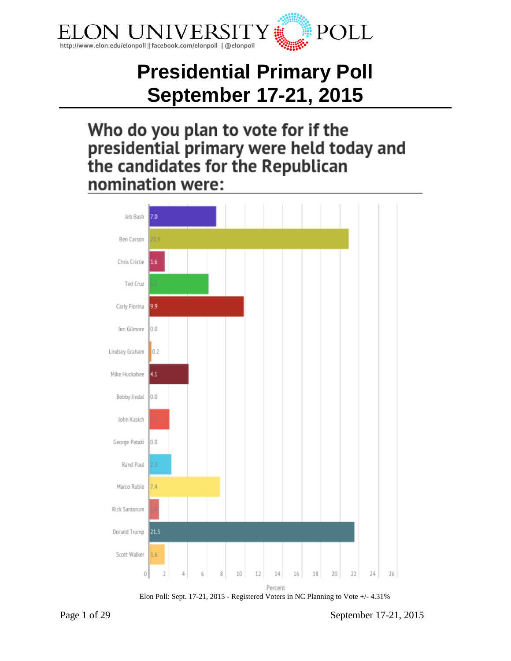

# **Presidential Primary Poll September 17-21, 2015**

## Who do you plan to vote for if the presidential primary were held today and the candidates for the Republican nomination were:





Page 1 of 29 September 17-21, 2015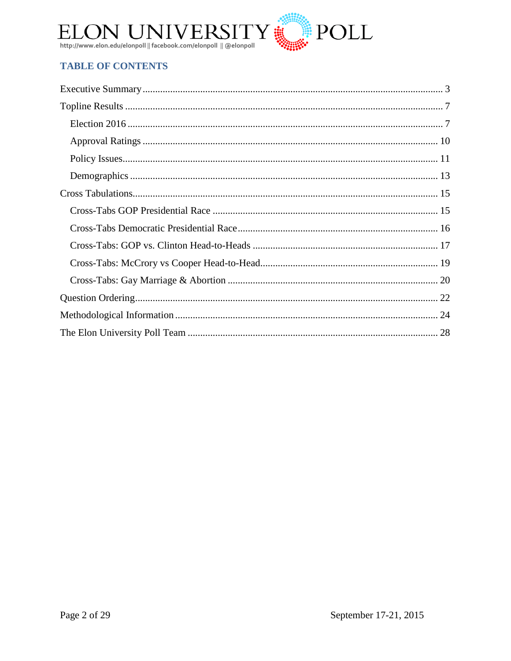

## **TABLE OF CONTENTS**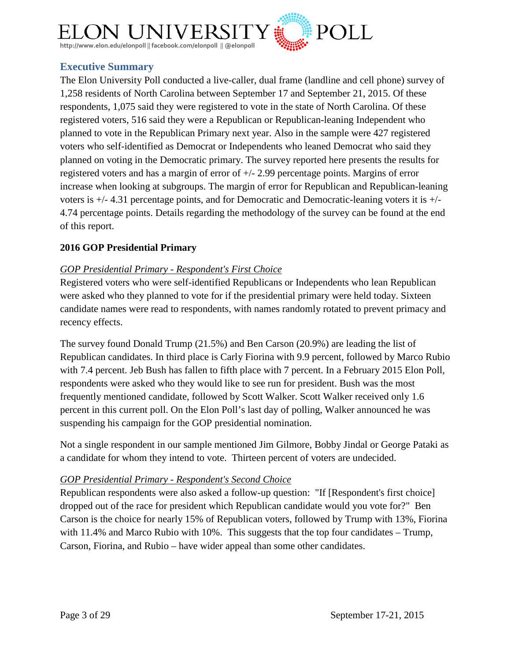

## <span id="page-2-0"></span>**Executive Summary**

The Elon University Poll conducted a live-caller, dual frame (landline and cell phone) survey of 1,258 residents of North Carolina between September 17 and September 21, 2015. Of these respondents, 1,075 said they were registered to vote in the state of North Carolina. Of these registered voters, 516 said they were a Republican or Republican-leaning Independent who planned to vote in the Republican Primary next year. Also in the sample were 427 registered voters who self-identified as Democrat or Independents who leaned Democrat who said they planned on voting in the Democratic primary. The survey reported here presents the results for registered voters and has a margin of error of +/- 2.99 percentage points. Margins of error increase when looking at subgroups. The margin of error for Republican and Republican-leaning voters is +/- 4.31 percentage points, and for Democratic and Democratic-leaning voters it is +/- 4.74 percentage points. Details regarding the methodology of the survey can be found at the end of this report.

#### **2016 GOP Presidential Primary**

#### *GOP Presidential Primary - Respondent's First Choice*

Registered voters who were self-identified Republicans or Independents who lean Republican were asked who they planned to vote for if the presidential primary were held today. Sixteen candidate names were read to respondents, with names randomly rotated to prevent primacy and recency effects.

The survey found Donald Trump (21.5%) and Ben Carson (20.9%) are leading the list of Republican candidates. In third place is Carly Fiorina with 9.9 percent, followed by Marco Rubio with 7.4 percent. Jeb Bush has fallen to fifth place with 7 percent. In a February 2015 Elon Poll, respondents were asked who they would like to see run for president. Bush was the most frequently mentioned candidate, followed by Scott Walker. Scott Walker received only 1.6 percent in this current poll. On the Elon Poll's last day of polling, Walker announced he was suspending his campaign for the GOP presidential nomination.

Not a single respondent in our sample mentioned Jim Gilmore, Bobby Jindal or George Pataki as a candidate for whom they intend to vote. Thirteen percent of voters are undecided.

#### *GOP Presidential Primary - Respondent's Second Choice*

Republican respondents were also asked a follow-up question: "If [Respondent's first choice] dropped out of the race for president which Republican candidate would you vote for?" Ben Carson is the choice for nearly 15% of Republican voters, followed by Trump with 13%, Fiorina with 11.4% and Marco Rubio with 10%. This suggests that the top four candidates – Trump, Carson, Fiorina, and Rubio – have wider appeal than some other candidates.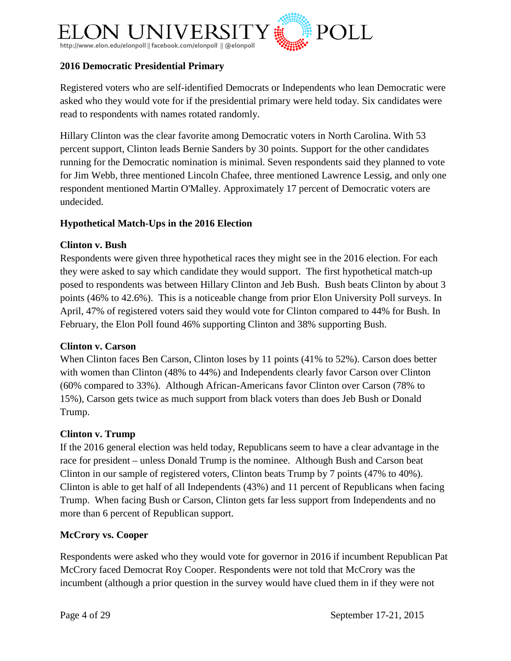

#### **2016 Democratic Presidential Primary**

Registered voters who are self-identified Democrats or Independents who lean Democratic were asked who they would vote for if the presidential primary were held today. Six candidates were read to respondents with names rotated randomly.

Hillary Clinton was the clear favorite among Democratic voters in North Carolina. With 53 percent support, Clinton leads Bernie Sanders by 30 points. Support for the other candidates running for the Democratic nomination is minimal. Seven respondents said they planned to vote for Jim Webb, three mentioned Lincoln Chafee, three mentioned Lawrence Lessig, and only one respondent mentioned Martin O'Malley. Approximately 17 percent of Democratic voters are undecided.

#### **Hypothetical Match-Ups in the 2016 Election**

#### **Clinton v. Bush**

Respondents were given three hypothetical races they might see in the 2016 election. For each they were asked to say which candidate they would support. The first hypothetical match-up posed to respondents was between Hillary Clinton and Jeb Bush. Bush beats Clinton by about 3 points (46% to 42.6%). This is a noticeable change from prior Elon University Poll surveys. In April, 47% of registered voters said they would vote for Clinton compared to 44% for Bush. In February, the Elon Poll found 46% supporting Clinton and 38% supporting Bush.

#### **Clinton v. Carson**

When Clinton faces Ben Carson, Clinton loses by 11 points (41% to 52%). Carson does better with women than Clinton (48% to 44%) and Independents clearly favor Carson over Clinton (60% compared to 33%). Although African-Americans favor Clinton over Carson (78% to 15%), Carson gets twice as much support from black voters than does Jeb Bush or Donald Trump.

#### **Clinton v. Trump**

If the 2016 general election was held today, Republicans seem to have a clear advantage in the race for president – unless Donald Trump is the nominee. Although Bush and Carson beat Clinton in our sample of registered voters, Clinton beats Trump by 7 points (47% to 40%). Clinton is able to get half of all Independents (43%) and 11 percent of Republicans when facing Trump. When facing Bush or Carson, Clinton gets far less support from Independents and no more than 6 percent of Republican support.

#### **McCrory vs. Cooper**

Respondents were asked who they would vote for governor in 2016 if incumbent Republican Pat McCrory faced Democrat Roy Cooper. Respondents were not told that McCrory was the incumbent (although a prior question in the survey would have clued them in if they were not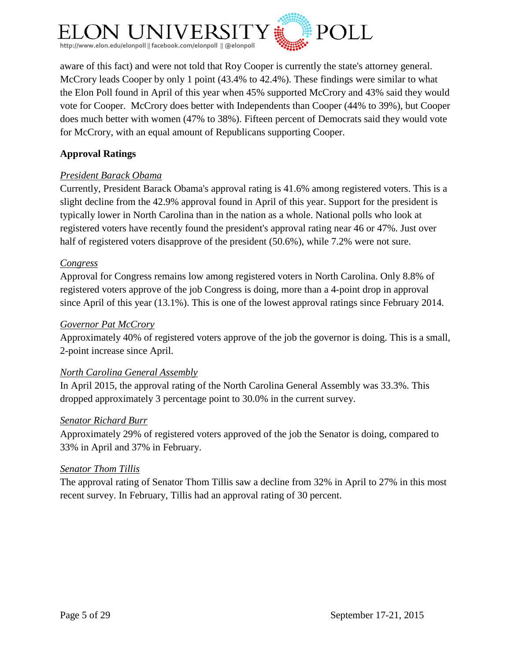

aware of this fact) and were not told that Roy Cooper is currently the state's attorney general. McCrory leads Cooper by only 1 point (43.4% to 42.4%). These findings were similar to what the Elon Poll found in April of this year when 45% supported McCrory and 43% said they would vote for Cooper. McCrory does better with Independents than Cooper (44% to 39%), but Cooper does much better with women (47% to 38%). Fifteen percent of Democrats said they would vote for McCrory, with an equal amount of Republicans supporting Cooper.

## **Approval Ratings**

## *President Barack Obama*

Currently, President Barack Obama's approval rating is 41.6% among registered voters. This is a slight decline from the 42.9% approval found in April of this year. Support for the president is typically lower in North Carolina than in the nation as a whole. National polls who look at registered voters have recently found the president's approval rating near 46 or 47%. Just over half of registered voters disapprove of the president (50.6%), while 7.2% were not sure.

#### *Congress*

Approval for Congress remains low among registered voters in North Carolina. Only 8.8% of registered voters approve of the job Congress is doing, more than a 4-point drop in approval since April of this year (13.1%). This is one of the lowest approval ratings since February 2014.

#### *Governor Pat McCrory*

Approximately 40% of registered voters approve of the job the governor is doing. This is a small, 2-point increase since April.

#### *North Carolina General Assembly*

In April 2015, the approval rating of the North Carolina General Assembly was 33.3%. This dropped approximately 3 percentage point to 30.0% in the current survey.

#### *Senator Richard Burr*

Approximately 29% of registered voters approved of the job the Senator is doing, compared to 33% in April and 37% in February.

#### *Senator Thom Tillis*

The approval rating of Senator Thom Tillis saw a decline from 32% in April to 27% in this most recent survey. In February, Tillis had an approval rating of 30 percent.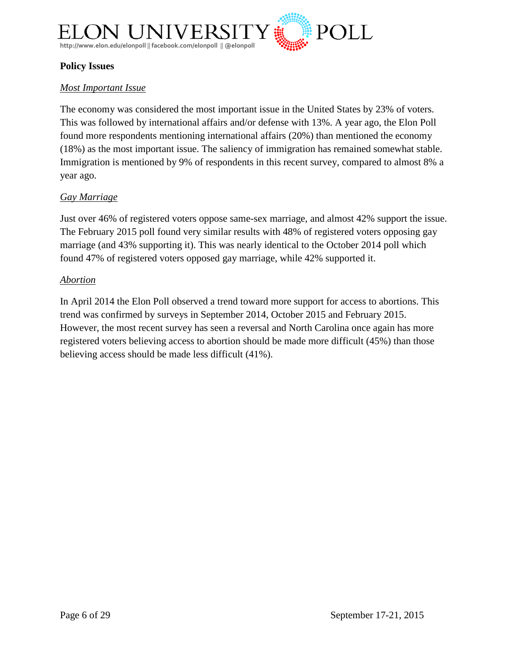

#### **Policy Issues**

#### *Most Important Issue*

The economy was considered the most important issue in the United States by 23% of voters. This was followed by international affairs and/or defense with 13%. A year ago, the Elon Poll found more respondents mentioning international affairs (20%) than mentioned the economy (18%) as the most important issue. The saliency of immigration has remained somewhat stable. Immigration is mentioned by 9% of respondents in this recent survey, compared to almost 8% a year ago.

#### *Gay Marriage*

Just over 46% of registered voters oppose same-sex marriage, and almost 42% support the issue. The February 2015 poll found very similar results with 48% of registered voters opposing gay marriage (and 43% supporting it). This was nearly identical to the October 2014 poll which found 47% of registered voters opposed gay marriage, while 42% supported it.

#### *Abortion*

In April 2014 the Elon Poll observed a trend toward more support for access to abortions. This trend was confirmed by surveys in September 2014, October 2015 and February 2015. However, the most recent survey has seen a reversal and North Carolina once again has more registered voters believing access to abortion should be made more difficult (45%) than those believing access should be made less difficult (41%).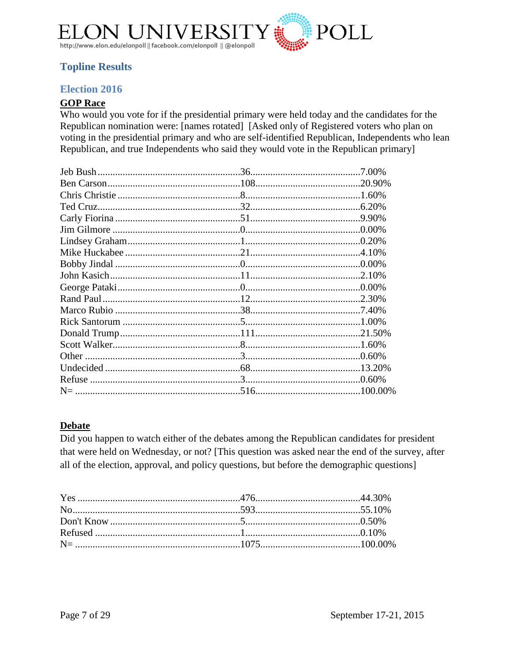

## <span id="page-6-0"></span>**Topline Results**

### <span id="page-6-1"></span>**Election 2016**

## **GOP Race**

Who would you vote for if the presidential primary were held today and the candidates for the Republican nomination were: [names rotated] [Asked only of Registered voters who plan on voting in the presidential primary and who are self-identified Republican, Independents who lean Republican, and true Independents who said they would vote in the Republican primary]

#### **Debate**

Did you happen to watch either of the debates among the Republican candidates for president that were held on Wednesday, or not? [This question was asked near the end of the survey, after all of the election, approval, and policy questions, but before the demographic questions]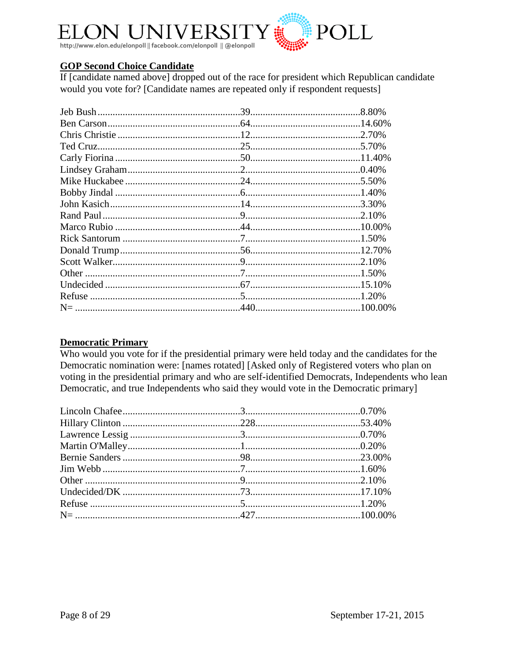

#### **GOP Second Choice Candidate**

If [candidate named above] dropped out of the race for president which Republican candidate would you vote for? [Candidate names are repeated only if respondent requests]

#### **Democratic Primary**

Who would you vote for if the presidential primary were held today and the candidates for the Democratic nomination were: [names rotated] [Asked only of Registered voters who plan on voting in the presidential primary and who are self-identified Democrats, Independents who lean Democratic, and true Independents who said they would vote in the Democratic primary]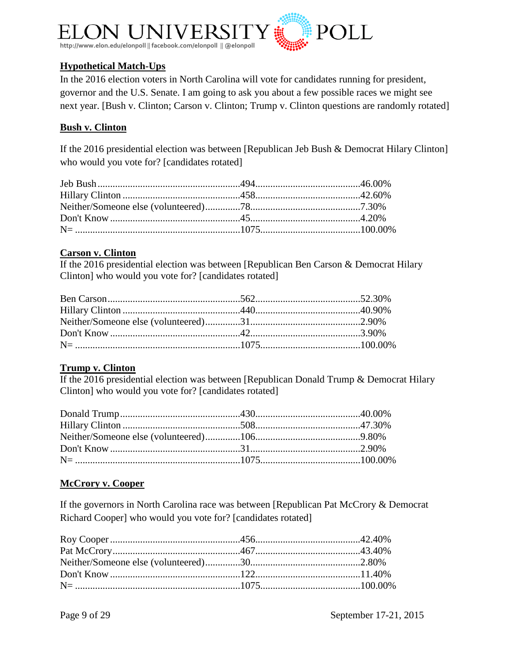

## **Hypothetical Match-Ups**

In the 2016 election voters in North Carolina will vote for candidates running for president, governor and the U.S. Senate. I am going to ask you about a few possible races we might see next year. [Bush v. Clinton; Carson v. Clinton; Trump v. Clinton questions are randomly rotated]

#### **Bush v. Clinton**

If the 2016 presidential election was between [Republican Jeb Bush & Democrat Hilary Clinton] who would you vote for? [candidates rotated]

#### **Carson v. Clinton**

If the 2016 presidential election was between [Republican Ben Carson & Democrat Hilary Clinton] who would you vote for? [candidates rotated]

#### **Trump v. Clinton**

If the 2016 presidential election was between [Republican Donald Trump & Democrat Hilary Clinton] who would you vote for? [candidates rotated]

#### **McCrory v. Cooper**

If the governors in North Carolina race was between [Republican Pat McCrory & Democrat Richard Cooper] who would you vote for? [candidates rotated]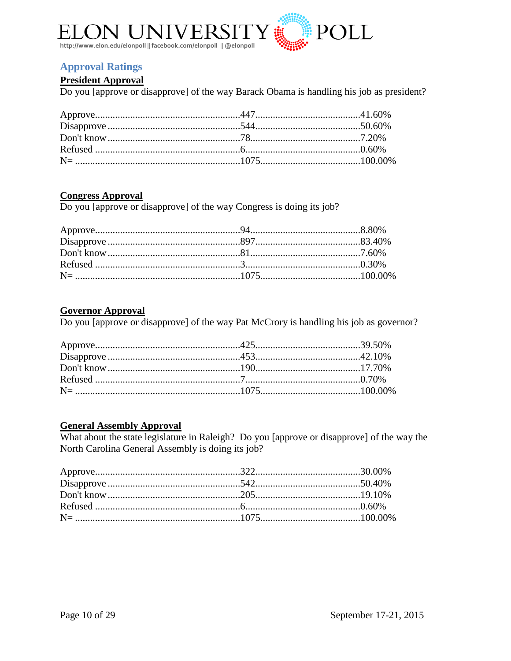

## <span id="page-9-0"></span>**Approval Ratings**

#### **President Approval**

Do you [approve or disapprove] of the way Barack Obama is handling his job as president?

#### **Congress Approval**

Do you [approve or disapprove] of the way Congress is doing its job?

#### **Governor Approval**

Do you [approve or disapprove] of the way Pat McCrory is handling his job as governor?

#### **General Assembly Approval**

What about the state legislature in Raleigh? Do you [approve or disapprove] of the way the North Carolina General Assembly is doing its job?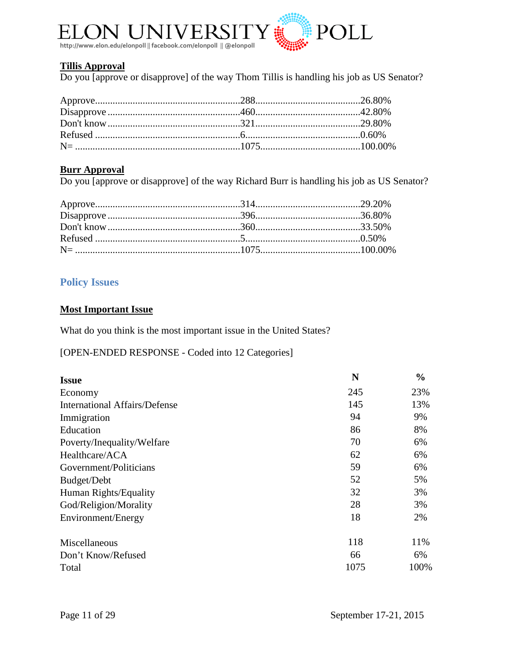

#### **Tillis Approval**

Do you [approve or disapprove] of the way Thom Tillis is handling his job as US Senator?

#### **Burr Approval**

Do you [approve or disapprove] of the way Richard Burr is handling his job as US Senator?

## <span id="page-10-0"></span>**Policy Issues**

#### **Most Important Issue**

What do you think is the most important issue in the United States?

[OPEN-ENDED RESPONSE - Coded into 12 Categories]

| <b>Issue</b>                         | N    | $\frac{0}{0}$ |
|--------------------------------------|------|---------------|
| Economy                              | 245  | 23%           |
| <b>International Affairs/Defense</b> | 145  | 13%           |
| Immigration                          | 94   | 9%            |
| Education                            | 86   | 8%            |
| Poverty/Inequality/Welfare           | 70   | 6%            |
| Healthcare/ACA                       | 62   | 6%            |
| Government/Politicians               | 59   | 6%            |
| Budget/Debt                          | 52   | 5%            |
| Human Rights/Equality                | 32   | 3%            |
| God/Religion/Morality                | 28   | 3%            |
| Environment/Energy                   | 18   | 2%            |
| Miscellaneous                        | 118  | 11%           |
| Don't Know/Refused                   | 66   | 6%            |
| Total                                | 1075 | 100%          |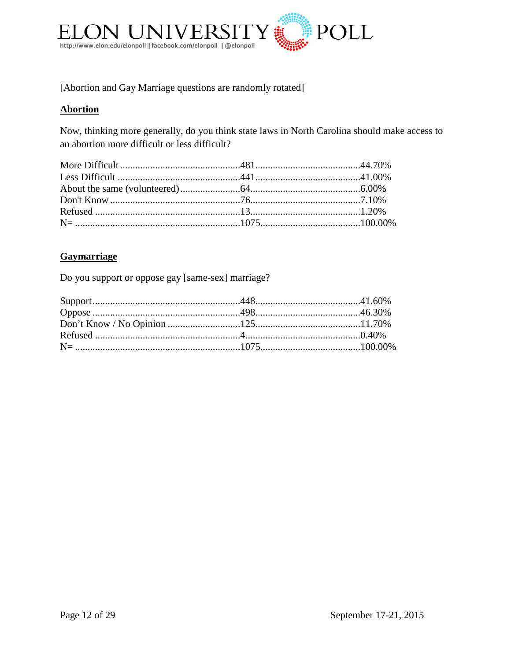

[Abortion and Gay Marriage questions are randomly rotated]

#### **Abortion**

Now, thinking more generally, do you think state laws in North Carolina should make access to an abortion more difficult or less difficult?

#### **Gaymarriage**

Do you support or oppose gay [same-sex] marriage?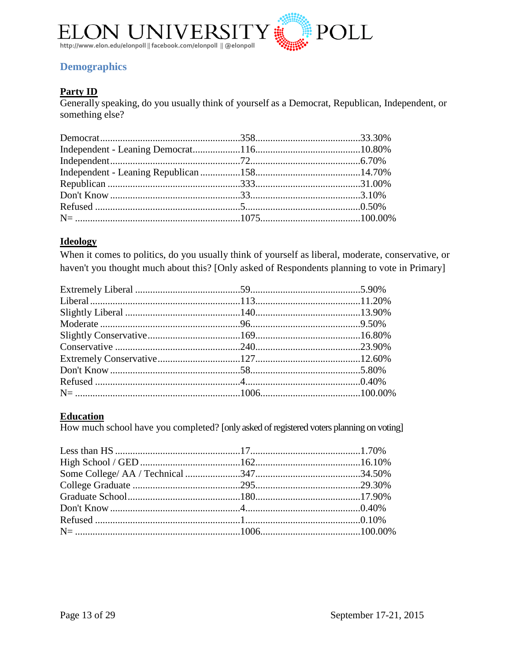

## <span id="page-12-0"></span>**Demographics**

## **Party ID**

Generally speaking, do you usually think of yourself as a Democrat, Republican, Independent, or something else?

#### **Ideology**

When it comes to politics, do you usually think of yourself as liberal, moderate, conservative, or haven't you thought much about this? [Only asked of Respondents planning to vote in Primary]

## **Education**

How much school have you completed? [only asked of registered voters planning on voting]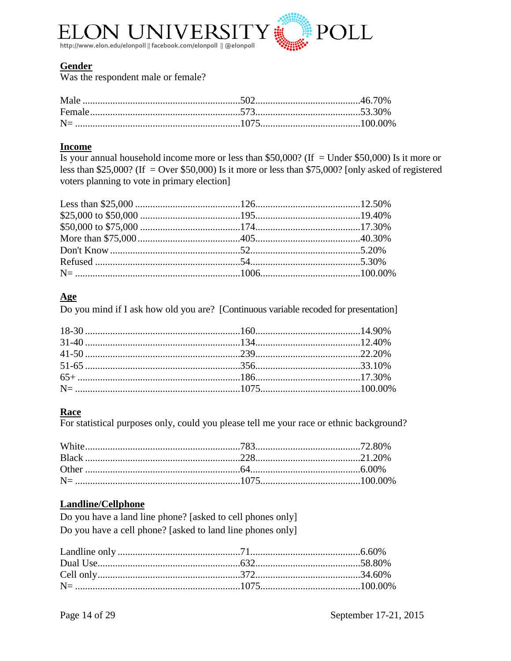

#### **Gender**

Was the respondent male or female?

#### **Income**

Is your annual household income more or less than \$50,000? (If = Under \$50,000) Is it more or less than \$25,000? (If = Over \$50,000) Is it more or less than \$75,000? [only asked of registered voters planning to vote in primary election]

#### $\mathbf{Age}$

Do you mind if I ask how old you are? [Continuous variable recoded for presentation]

#### Race

For statistical purposes only, could you please tell me your race or ethnic background?

#### **Landline/Cellphone**

Do you have a land line phone? [asked to cell phones only] Do you have a cell phone? [asked to land line phones only]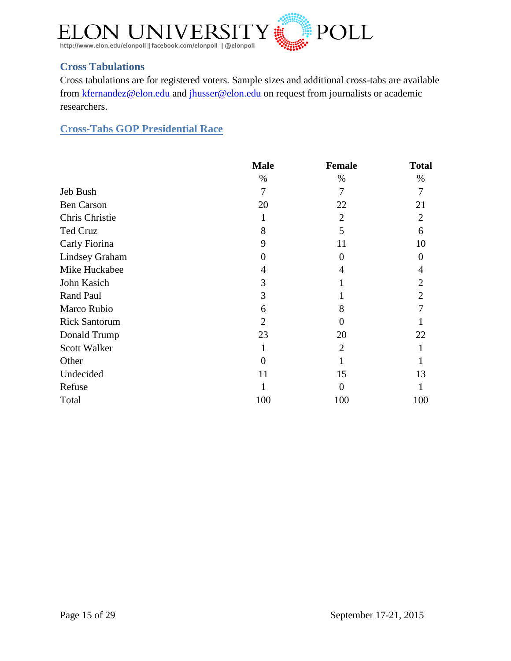

## <span id="page-14-0"></span>**Cross Tabulations**

Cross tabulations are for registered voters. Sample sizes and additional cross-tabs are available from [kfernandez@elon.edu](mailto:kfernandez@elon.edu) and [jhusser@elon.edu](mailto:jhusser@elon.edu) on request from journalists or academic researchers.

<span id="page-14-1"></span>**Cross-Tabs GOP Presidential Race**

|                       | <b>Male</b>    | <b>Female</b>  | <b>Total</b>   |
|-----------------------|----------------|----------------|----------------|
|                       | %              | %              | %              |
| Jeb Bush              | 7              | 7              | 7              |
| <b>Ben Carson</b>     | 20             | 22             | 21             |
| Chris Christie        | 1              | $\overline{2}$ | $\overline{2}$ |
| Ted Cruz              | 8              | 5              | 6              |
| Carly Fiorina         | 9              | 11             | 10             |
| <b>Lindsey Graham</b> | $\theta$       | $\overline{0}$ | 0              |
| Mike Huckabee         | 4              | 4              | 4              |
| John Kasich           | 3              | 1              | $\overline{2}$ |
| Rand Paul             | 3              |                | $\overline{2}$ |
| Marco Rubio           | 6              | 8              | 7              |
| <b>Rick Santorum</b>  | $\overline{2}$ | $\overline{0}$ |                |
| Donald Trump          | 23             | 20             | 22             |
| <b>Scott Walker</b>   | 1              | $\overline{2}$ |                |
| Other                 | $\Omega$       |                |                |
| Undecided             | 11             | 15             | 13             |
| Refuse                |                | $\theta$       |                |
| Total                 | 100            | 100            | 100            |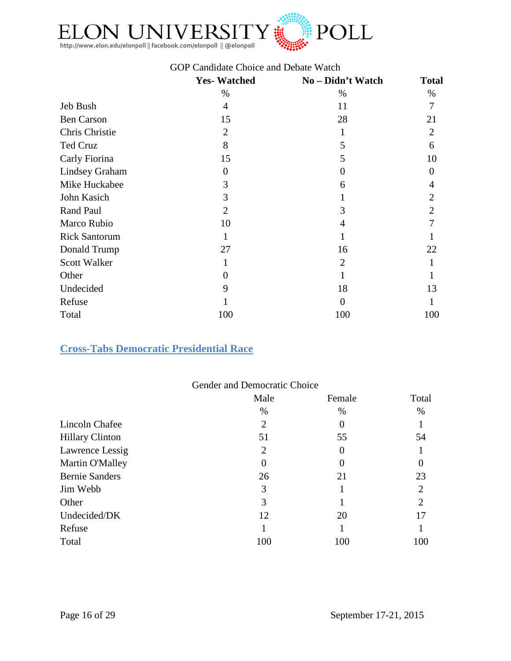

### GOP Candidate Choice and Debate Watch

|                       | <b>Yes-Watched</b> | No - Didn't Watch | <b>Total</b>   |
|-----------------------|--------------------|-------------------|----------------|
|                       | $\%$               | $\%$              | $\%$           |
| Jeb Bush              | 4                  | 11                | 7              |
| <b>Ben Carson</b>     | 15                 | 28                | 21             |
| Chris Christie        | $\overline{2}$     |                   | $\overline{2}$ |
| Ted Cruz              | 8                  | 5                 | 6              |
| Carly Fiorina         | 15                 | 5                 | 10             |
| <b>Lindsey Graham</b> | $\overline{0}$     | $\Omega$          | 0              |
| Mike Huckabee         | 3                  | 6                 | 4              |
| John Kasich           | 3                  |                   | $\overline{2}$ |
| Rand Paul             | $\overline{2}$     | 3                 | $\overline{2}$ |
| Marco Rubio           | 10                 | 4                 | 7              |
| <b>Rick Santorum</b>  | 1                  |                   |                |
| Donald Trump          | 27                 | 16                | 22             |
| Scott Walker          | 1                  | $\overline{2}$    |                |
| Other                 | $\theta$           |                   |                |
| Undecided             | 9                  | 18                | 13             |
| Refuse                |                    | $\Omega$          |                |
| Total                 | 100                | 100               | 100            |

### <span id="page-15-0"></span>**Cross-Tabs Democratic Presidential Race**

|                        | Gender and Democratic Choice |          |                |
|------------------------|------------------------------|----------|----------------|
|                        | Male                         | Female   | Total          |
|                        | %                            | %        | %              |
| Lincoln Chafee         | 2                            | $\theta$ |                |
| <b>Hillary Clinton</b> | 51                           | 55       | 54             |
| Lawrence Lessig        | 2                            | $\theta$ |                |
| Martin O'Malley        |                              | O        |                |
| <b>Bernie Sanders</b>  | 26                           | 21       | 23             |
| Jim Webb               | 3                            |          | $\overline{2}$ |
| Other                  | 3                            |          | $\overline{2}$ |
| Undecided/DK           | 12                           | 20       | 17             |
| Refuse                 |                              |          |                |
| Total                  | 100                          | 100      | 100            |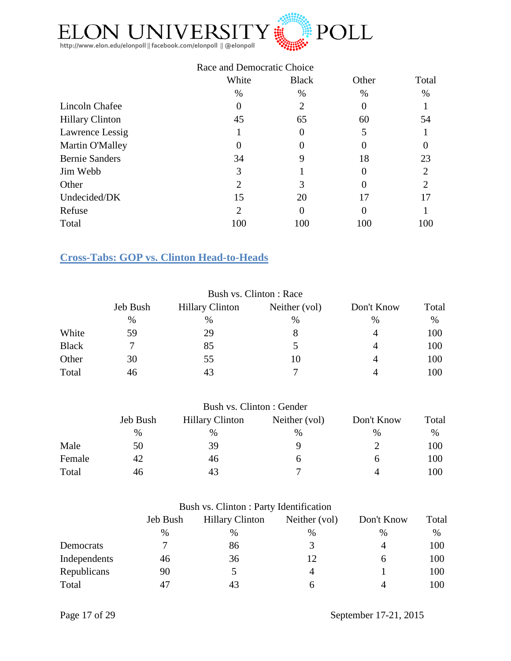

|                        | Race and Democratic Choice |              |          |                |  |
|------------------------|----------------------------|--------------|----------|----------------|--|
|                        | White                      | <b>Black</b> | Other    | Total          |  |
|                        | $\%$                       | $\%$         | $\%$     | %              |  |
| Lincoln Chafee         | 0                          | 2            | 0        |                |  |
| <b>Hillary Clinton</b> | 45                         | 65           | 60       | 54             |  |
| Lawrence Lessig        |                            | $\theta$     |          |                |  |
| Martin O'Malley        |                            |              |          |                |  |
| <b>Bernie Sanders</b>  | 34                         | 9            | 18       | 23             |  |
| Jim Webb               | 3                          |              | 0        | 2              |  |
| Other                  | 2                          | 3            | 0        | $\mathfrak{D}$ |  |
| Undecided/DK           | 15                         | 20           | 17       | 17             |  |
| Refuse                 | 2                          | $\Omega$     | $\theta$ |                |  |
| Total                  | 100                        | 100          | 100      | 100            |  |

## <span id="page-16-0"></span>**Cross-Tabs: GOP vs. Clinton Head-to-Heads**

|              |          |                        | Bush vs. Clinton: Race |                |       |
|--------------|----------|------------------------|------------------------|----------------|-------|
|              | Jeb Bush | <b>Hillary Clinton</b> | Neither (vol)          | Don't Know     | Total |
|              | %        | $\%$                   | $\%$                   | %              | $\%$  |
| White        | 59       | 29                     | 8                      | 4              | 100   |
| <b>Black</b> |          | 85                     |                        | 4              | 100   |
| Other        | 30       | 55                     | 10                     | $\overline{4}$ | 100   |
| Total        | 46       | 43                     |                        | Δ              | 100   |

|        |          | Bush vs. Clinton : Gender |               |            |       |
|--------|----------|---------------------------|---------------|------------|-------|
|        | Jeb Bush | <b>Hillary Clinton</b>    | Neither (vol) | Don't Know | Total |
|        | $\%$     | $\%$                      | %             | %          | $\%$  |
| Male   | 50       | 39                        |               |            | 100   |
| Female | 42       | 46                        | h             |            | 100   |
| Total  | 46       | 43                        |               | 4          | 100   |

| Bush vs. Clinton : Party Identification |  |
|-----------------------------------------|--|
|-----------------------------------------|--|

|              | Jeb Bush | <b>Hillary Clinton</b> | Neither (vol) | Don't Know | Total |
|--------------|----------|------------------------|---------------|------------|-------|
|              | $\%$     | $\frac{0}{0}$          | %             | $\%$       | $\%$  |
| Democrats    |          | 86                     | 3             | 4          | 100   |
| Independents | 46       | 36                     | 12            | h          | 100   |
| Republicans  | 90       |                        |               |            | 100   |
| Total        | 47       | 43                     | n             |            | 100   |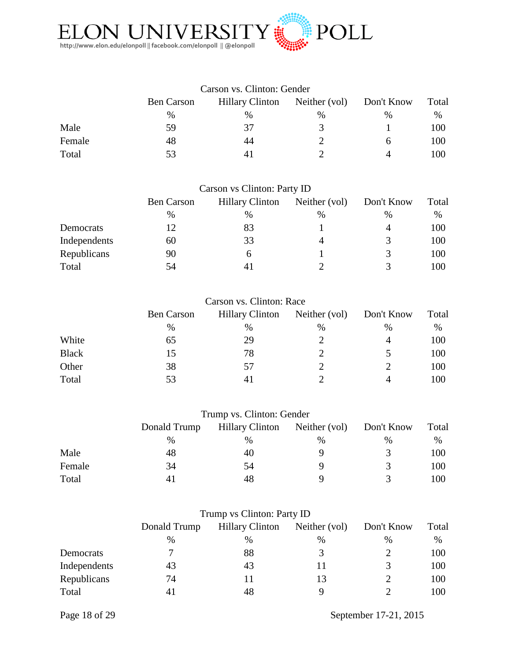

| Carson vs. Clinton: Gender |                   |                        |               |               |       |
|----------------------------|-------------------|------------------------|---------------|---------------|-------|
|                            | <b>Ben Carson</b> | <b>Hillary Clinton</b> | Neither (vol) | Don't Know    | Total |
|                            | $\frac{0}{0}$     | $\%$                   | $\%$          | $\frac{0}{0}$ | %     |
| Male                       | 59                | 37                     | 3             |               | 100   |
| Female                     | 48                | 44                     |               |               | 100   |
| Total                      | 53                |                        |               |               | 100   |

| Carson vs Clinton: Party ID |                   |                                                       |   |               |     |  |
|-----------------------------|-------------------|-------------------------------------------------------|---|---------------|-----|--|
|                             | <b>Ben Carson</b> | <b>Hillary Clinton</b><br>Neither (vol)<br>Don't Know |   |               |     |  |
|                             | $\%$              | %                                                     | % | $\%$          | %   |  |
| Democrats                   | 12                | 83                                                    |   | 4             | 100 |  |
| Independents                | 60                | 33                                                    |   | 3             | 100 |  |
| Republicans                 | 90                | h                                                     |   | $\mathcal{R}$ | 100 |  |
| Total                       | 54                |                                                       |   |               | 100 |  |

|              | <b>Ben Carson</b> | <b>Hillary Clinton</b> | Neither (vol) | Don't Know | Total |  |
|--------------|-------------------|------------------------|---------------|------------|-------|--|
|              | $\frac{0}{0}$     | %                      | %             | $\%$       | %     |  |
| White        | 65                | 29                     |               |            | 100   |  |
| <b>Black</b> | 15                | 78                     |               |            | 100   |  |
| Other        | 38                | 57                     |               |            | 100   |  |
| Total        | 53                | 4 I                    |               |            | 100   |  |

| Trump vs. Clinton: Gender |  |  |
|---------------------------|--|--|
|---------------------------|--|--|

|        | Donald Trump | <b>Hillary Clinton</b> | Neither (vol) | Don't Know | Total |
|--------|--------------|------------------------|---------------|------------|-------|
|        | $\%$         | %                      | $\%$          | $\%$       | $\%$  |
| Male   | 48           | 40                     | Q             |            | 100   |
| Female | 34           | 54                     | Q             |            | 100   |
| Total  |              | 48                     | Q             |            | 100   |

| Trump vs Clinton: Party ID |              |                        |               |               |       |
|----------------------------|--------------|------------------------|---------------|---------------|-------|
|                            | Donald Trump | <b>Hillary Clinton</b> | Neither (vol) | Don't Know    | Total |
|                            | $\%$         | $\%$                   | $\frac{0}{0}$ | $\%$          | $\%$  |
| Democrats                  |              | 88                     | 3             |               | 100   |
| Independents               | 43           | 43                     |               | $\mathcal{R}$ | 100   |
| Republicans                | 74           |                        | 13            |               | 100   |
| Total                      |              | 48                     |               |               | 100   |

Page 18 of 29 September 17-21, 2015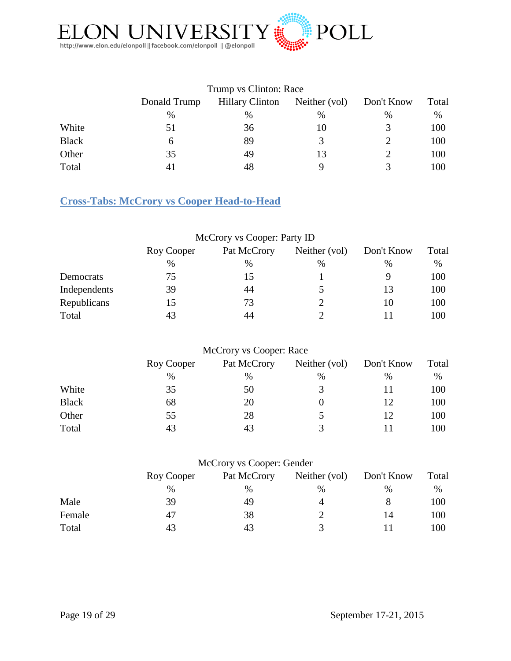

|              |              | Trump vs Clinton: Race |               |               |       |
|--------------|--------------|------------------------|---------------|---------------|-------|
|              | Donald Trump | <b>Hillary Clinton</b> | Neither (vol) | Don't Know    | Total |
|              | $\%$         | $\%$                   | $\%$          | $\frac{0}{0}$ | $\%$  |
| White        | 51           | 36                     | 10            |               | 100   |
| <b>Black</b> | <sub>0</sub> | 89                     |               |               | 100   |
| Other        | 35           | 49                     | 13            |               | 100   |
| Total        |              | 48                     |               |               | 100   |

## <span id="page-18-0"></span>**Cross-Tabs: McCrory vs Cooper Head-to-Head**

|              | McCrory vs Cooper: Party ID |             |               |               |       |
|--------------|-----------------------------|-------------|---------------|---------------|-------|
|              | Roy Cooper                  | Pat McCrory | Neither (vol) | Don't Know    | Total |
|              | %                           | %           | $\frac{0}{0}$ | $\frac{0}{0}$ | $\%$  |
| Democrats    | 75                          | 15          |               | Q             | 100   |
| Independents | 39                          | 44          |               | 13            | 100   |
| Republicans  | 15                          | 73          |               | 10            | 100   |
| Total        | 43                          | 44          |               |               | 100   |

## McCrory vs Cooper: Race

|              | Roy Cooper | Pat McCrory | Neither (vol) | Don't Know | Total |
|--------------|------------|-------------|---------------|------------|-------|
|              | $\%$       | %           | %             | %          | %     |
| White        | 35         | 50          | 3             |            | 100   |
| <b>Black</b> | 68         | 20          |               | 12         | 100   |
| Other        | 55         | 28          |               |            | 100   |
| Total        | 43         | 43          | 3             |            | 100   |

## McCrory vs Cooper: Gender

|        | Roy Cooper | Pat McCrory | Neither (vol) | Don't Know | Total |  |
|--------|------------|-------------|---------------|------------|-------|--|
|        | $\%$       | %           | $\%$          | $\%$       | %     |  |
| Male   | 39         | 49          | 4             |            | 100   |  |
| Female | 47         | 38          | ∸             | 14         | 100   |  |
| Total  | 43         | 43          |               |            | 100   |  |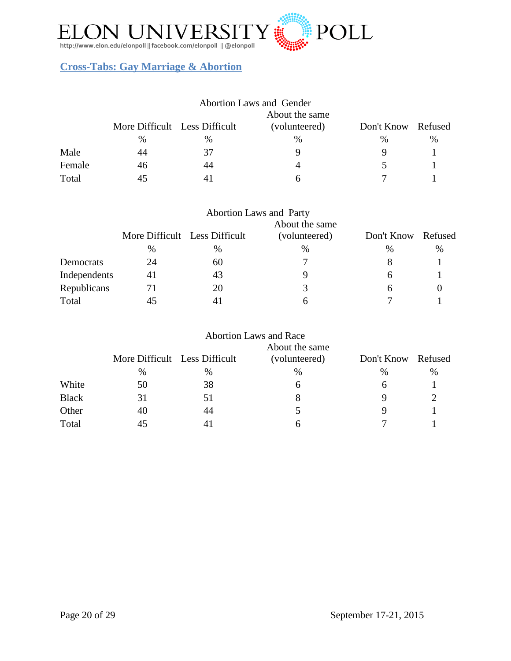

## <span id="page-19-0"></span>**Cross-Tabs: Gay Marriage & Abortion**

|        | <b>Abortion Laws and Gender</b> |      |               |                    |               |  |  |
|--------|---------------------------------|------|---------------|--------------------|---------------|--|--|
|        | About the same                  |      |               |                    |               |  |  |
|        | More Difficult Less Difficult   |      | (volunteered) | Don't Know Refused |               |  |  |
|        | $\%$                            | $\%$ | $\%$          | $\%$               | $\frac{0}{0}$ |  |  |
| Male   | 44                              | 37   |               |                    |               |  |  |
| Female | 46                              | 44   |               |                    |               |  |  |
| Total  | 45                              | 41   |               |                    |               |  |  |

|              |                               |    | <b>Abortion Laws and Party</b><br>About the same |                    |   |
|--------------|-------------------------------|----|--------------------------------------------------|--------------------|---|
|              | More Difficult Less Difficult |    | (volunteered)                                    | Don't Know Refused |   |
|              | %                             | %  | $\%$                                             | %                  | % |
| Democrats    | 24                            | 60 |                                                  | 8                  |   |
| Independents | 41                            | 43 |                                                  | h                  |   |
| Republicans  | 71                            | 20 | 3                                                | h                  |   |
| Total        |                               |    | h                                                |                    |   |

|              |                               |    | <b>Abortion Laws and Race</b> |            |         |
|--------------|-------------------------------|----|-------------------------------|------------|---------|
|              |                               |    | About the same                |            |         |
|              | More Difficult Less Difficult |    | (volunteered)                 | Don't Know | Refused |
|              | $\%$                          | %  | %                             | %          | $\%$    |
| White        | 50                            | 38 | 6                             | 6          |         |
| <b>Black</b> | 31                            | 51 |                               | 9          |         |
| Other        | 40                            | 44 |                               |            |         |
| Total        |                               | 41 | h                             |            |         |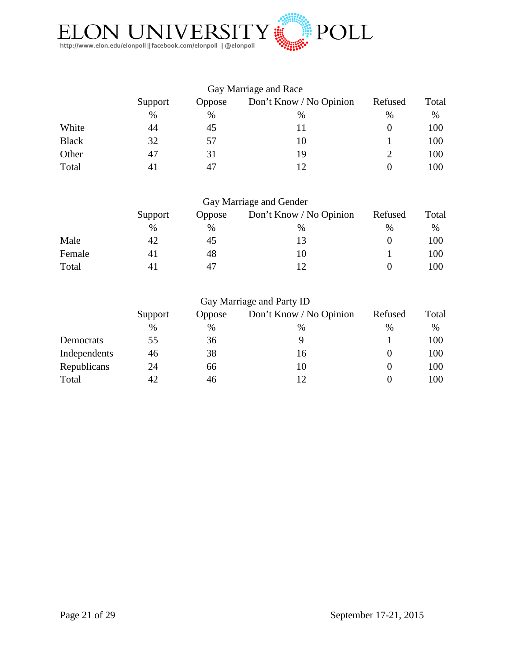

| Support | Oppose | Don't Know / No Opinion | Refused               | Total |
|---------|--------|-------------------------|-----------------------|-------|
| $\%$    | %      | %                       | $\%$                  | %     |
| 44      | 45     | 11                      |                       | 100   |
| 32      | 57     | 10                      |                       | 100   |
| 47      | 31     | 19                      |                       | 100   |
| 4 I     | 47     | 12                      |                       | 100   |
|         |        |                         | Gay Marriage and Race |       |

| Gay Marriage and Gender |
|-------------------------|
|-------------------------|

|        | Support | Oppose | Don't Know / No Opinion | Refused       | Total |
|--------|---------|--------|-------------------------|---------------|-------|
|        | $\%$    | $\%$   | $\%$                    | $\frac{0}{0}$ | %     |
| Male   | 42      | 45     |                         |               | 100   |
| Female | 41      | 48     | 10                      |               | 100   |
| Total  | 41      | 47     |                         |               | 100   |

| Support | Oppose | Don't Know / No Opinion | Refused                   | Total |
|---------|--------|-------------------------|---------------------------|-------|
| %       | $\%$   | $\frac{0}{0}$           | $\frac{0}{0}$             | %     |
| 55      | 36     |                         |                           | 100   |
| 46      | 38     | 16                      |                           | 100   |
| 24      | 66     | 10                      |                           | 100   |
| 42      | 46     | 12                      |                           | 100   |
|         |        |                         | Gay Marriage and Party ID |       |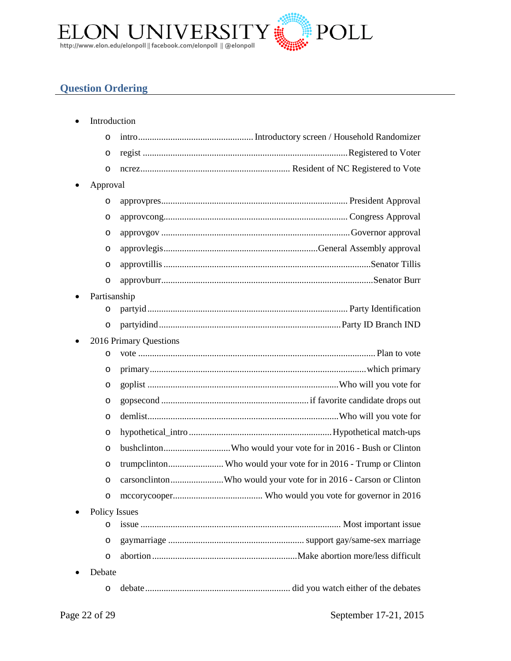

## <span id="page-21-0"></span>**Question Ordering**

|          | Introduction                                                     |
|----------|------------------------------------------------------------------|
| O        |                                                                  |
| $\circ$  |                                                                  |
| $\circ$  |                                                                  |
| Approval |                                                                  |
| $\circ$  |                                                                  |
| $\circ$  |                                                                  |
| O        |                                                                  |
| O        |                                                                  |
| O        |                                                                  |
| $\circ$  |                                                                  |
|          | Partisanship                                                     |
| O        |                                                                  |
| $\circ$  |                                                                  |
|          | 2016 Primary Questions                                           |
| O        |                                                                  |
| O        |                                                                  |
| O        |                                                                  |
| O        |                                                                  |
| O        |                                                                  |
| O        |                                                                  |
| O        | bushclintonWho would your vote for in 2016 - Bush or Clinton     |
| $\circ$  | trumpclintonWho would your vote for in 2016 - Trump or Clinton   |
| O        | carsonclintonWho would your vote for in 2016 - Carson or Clinton |
| O        |                                                                  |
|          | <b>Policy Issues</b>                                             |
| O        |                                                                  |
| O        |                                                                  |
| O        |                                                                  |
| Debate   |                                                                  |
| O        |                                                                  |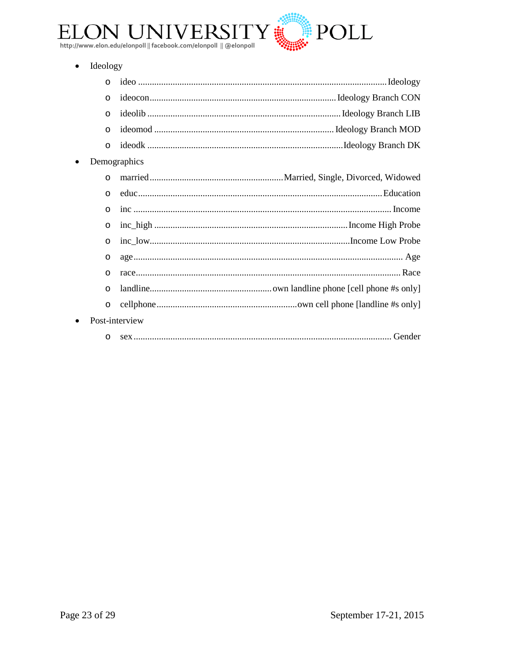

· Ideology

 $\bullet$ 

 $\bullet$ 

| $\circ$        |  |  |
|----------------|--|--|
| $\circ$        |  |  |
| $\circ$        |  |  |
| $\circ$        |  |  |
| $\circ$        |  |  |
| Demographics   |  |  |
| $\circ$        |  |  |
| $\circ$        |  |  |
| $\circ$        |  |  |
| $\circ$        |  |  |
| $\circ$        |  |  |
| $\circ$        |  |  |
| $\circ$        |  |  |
| $\circ$        |  |  |
| $\circ$        |  |  |
| Post-interview |  |  |
| $\circ$        |  |  |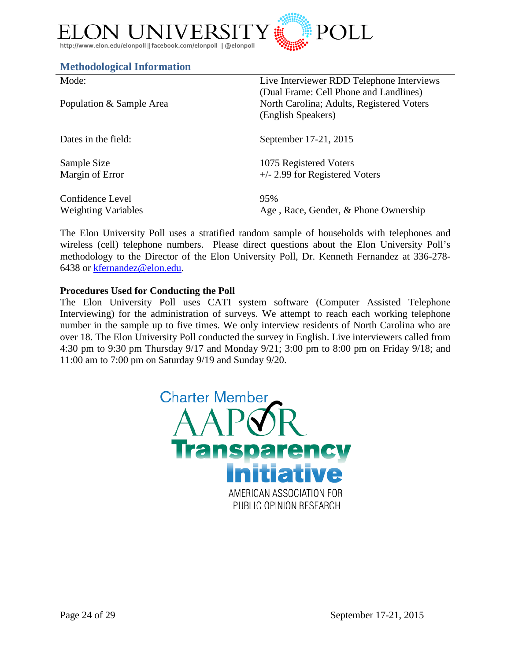

#### <span id="page-23-0"></span>**Methodological Information**

| Mode:                      | Live Interviewer RDD Telephone Interviews<br>(Dual Frame: Cell Phone and Landlines) |
|----------------------------|-------------------------------------------------------------------------------------|
| Population & Sample Area   | North Carolina; Adults, Registered Voters<br>(English Speakers)                     |
| Dates in the field:        | September 17-21, 2015                                                               |
| Sample Size                | 1075 Registered Voters                                                              |
| Margin of Error            | $+/- 2.99$ for Registered Voters                                                    |
| Confidence Level           | 95%                                                                                 |
| <b>Weighting Variables</b> | Age, Race, Gender, & Phone Ownership                                                |

The Elon University Poll uses a stratified random sample of households with telephones and wireless (cell) telephone numbers. Please direct questions about the Elon University Poll's methodology to the Director of the Elon University Poll, Dr. Kenneth Fernandez at 336-278- 6438 or [kfernandez@elon.edu.](mailto:kfernandez@elon.edu)

#### **Procedures Used for Conducting the Poll**

The Elon University Poll uses CATI system software (Computer Assisted Telephone Interviewing) for the administration of surveys. We attempt to reach each working telephone number in the sample up to five times. We only interview residents of North Carolina who are over 18. The Elon University Poll conducted the survey in English. Live interviewers called from 4:30 pm to 9:30 pm Thursday 9/17 and Monday 9/21; 3:00 pm to 8:00 pm on Friday 9/18; and 11:00 am to 7:00 pm on Saturday 9/19 and Sunday 9/20.

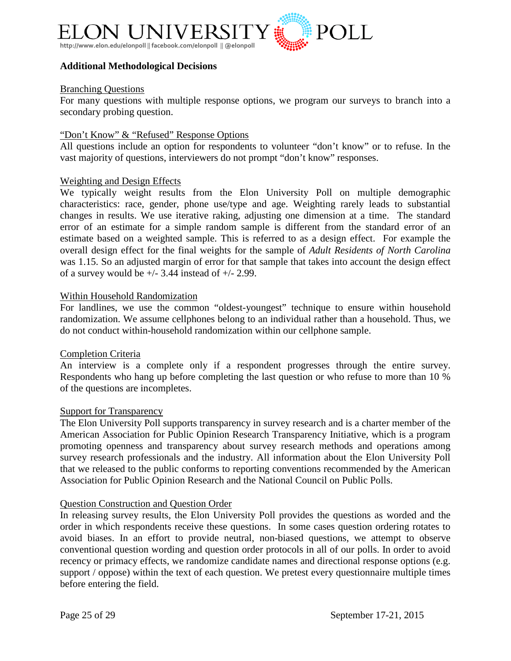

#### **Additional Methodological Decisions**

#### Branching Questions

For many questions with multiple response options, we program our surveys to branch into a secondary probing question.

#### "Don't Know" & "Refused" Response Options

All questions include an option for respondents to volunteer "don't know" or to refuse. In the vast majority of questions, interviewers do not prompt "don't know" responses.

#### Weighting and Design Effects

We typically weight results from the Elon University Poll on multiple demographic characteristics: race, gender, phone use/type and age. Weighting rarely leads to substantial changes in results. We use iterative raking, adjusting one dimension at a time. The standard error of an estimate for a simple random sample is different from the standard error of an estimate based on a weighted sample. This is referred to as a design effect. For example the overall design effect for the final weights for the sample of *Adult Residents of North Carolina* was 1.15. So an adjusted margin of error for that sample that takes into account the design effect of a survey would be  $+/- 3.44$  instead of  $+/- 2.99$ .

#### Within Household Randomization

For landlines, we use the common "oldest-youngest" technique to ensure within household randomization. We assume cellphones belong to an individual rather than a household. Thus, we do not conduct within-household randomization within our cellphone sample.

#### Completion Criteria

An interview is a complete only if a respondent progresses through the entire survey. Respondents who hang up before completing the last question or who refuse to more than 10 % of the questions are incompletes.

#### Support for Transparency

The Elon University Poll supports transparency in survey research and is a charter member of the American Association for Public Opinion Research Transparency Initiative, which is a program promoting openness and transparency about survey research methods and operations among survey research professionals and the industry. All information about the Elon University Poll that we released to the public conforms to reporting conventions recommended by the American Association for Public Opinion Research and the National Council on Public Polls.

#### Question Construction and Question Order

In releasing survey results, the Elon University Poll provides the questions as worded and the order in which respondents receive these questions. In some cases question ordering rotates to avoid biases. In an effort to provide neutral, non-biased questions, we attempt to observe conventional question wording and question order protocols in all of our polls. In order to avoid recency or primacy effects, we randomize candidate names and directional response options (e.g. support / oppose) within the text of each question. We pretest every questionnaire multiple times before entering the field.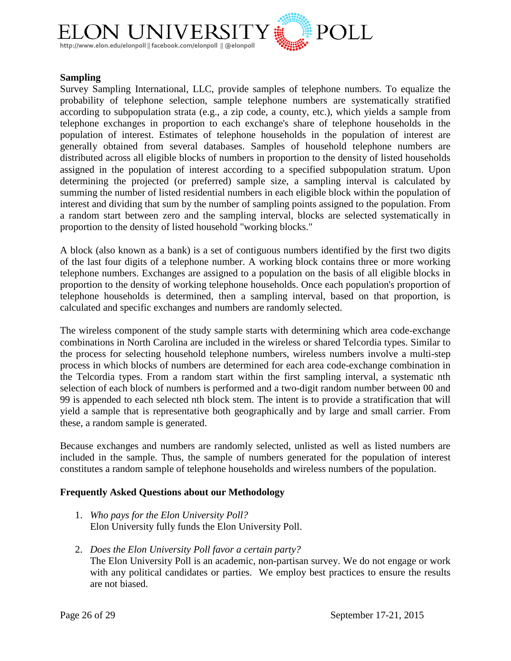

#### **Sampling**

Survey Sampling International, LLC, provide samples of telephone numbers. To equalize the probability of telephone selection, sample telephone numbers are systematically stratified according to subpopulation strata (e.g., a zip code, a county, etc.), which yields a sample from telephone exchanges in proportion to each exchange's share of telephone households in the population of interest. Estimates of telephone households in the population of interest are generally obtained from several databases. Samples of household telephone numbers are distributed across all eligible blocks of numbers in proportion to the density of listed households assigned in the population of interest according to a specified subpopulation stratum. Upon determining the projected (or preferred) sample size, a sampling interval is calculated by summing the number of listed residential numbers in each eligible block within the population of interest and dividing that sum by the number of sampling points assigned to the population. From a random start between zero and the sampling interval, blocks are selected systematically in proportion to the density of listed household "working blocks."

A block (also known as a bank) is a set of contiguous numbers identified by the first two digits of the last four digits of a telephone number. A working block contains three or more working telephone numbers. Exchanges are assigned to a population on the basis of all eligible blocks in proportion to the density of working telephone households. Once each population's proportion of telephone households is determined, then a sampling interval, based on that proportion, is calculated and specific exchanges and numbers are randomly selected.

The wireless component of the study sample starts with determining which area code-exchange combinations in North Carolina are included in the wireless or shared Telcordia types. Similar to the process for selecting household telephone numbers, wireless numbers involve a multi-step process in which blocks of numbers are determined for each area code-exchange combination in the Telcordia types. From a random start within the first sampling interval, a systematic nth selection of each block of numbers is performed and a two-digit random number between 00 and 99 is appended to each selected nth block stem. The intent is to provide a stratification that will yield a sample that is representative both geographically and by large and small carrier. From these, a random sample is generated.

Because exchanges and numbers are randomly selected, unlisted as well as listed numbers are included in the sample. Thus, the sample of numbers generated for the population of interest constitutes a random sample of telephone households and wireless numbers of the population.

#### **Frequently Asked Questions about our Methodology**

- 1. *Who pays for the Elon University Poll?* Elon University fully funds the Elon University Poll.
- 2. *Does the Elon University Poll favor a certain party?* The Elon University Poll is an academic, non-partisan survey. We do not engage or work with any political candidates or parties. We employ best practices to ensure the results are not biased.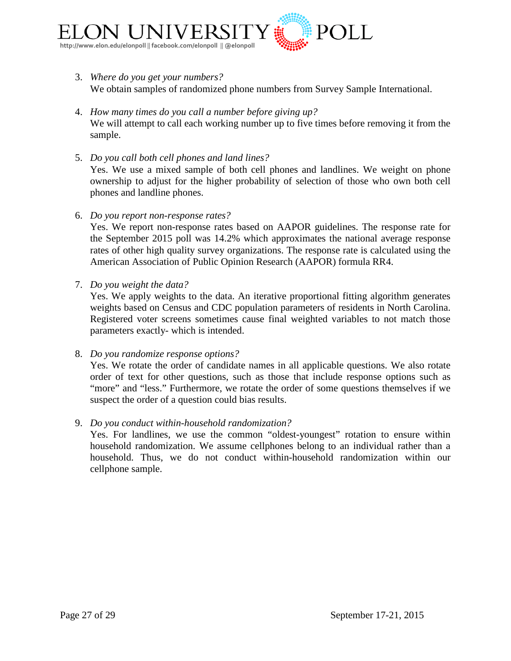

- 3. *Where do you get your numbers?* We obtain samples of randomized phone numbers from Survey Sample International.
- 4. *How many times do you call a number before giving up?* We will attempt to call each working number up to five times before removing it from the sample.
- 5. *Do you call both cell phones and land lines?* Yes. We use a mixed sample of both cell phones and landlines. We weight on phone ownership to adjust for the higher probability of selection of those who own both cell phones and landline phones.
- 6. *Do you report non-response rates?*

Yes. We report non-response rates based on AAPOR guidelines. The response rate for the September 2015 poll was 14.2% which approximates the national average response rates of other high quality survey organizations. The response rate is calculated using the American Association of Public Opinion Research (AAPOR) formula RR4.

7. *Do you weight the data?*

Yes. We apply weights to the data. An iterative proportional fitting algorithm generates weights based on Census and CDC population parameters of residents in North Carolina. Registered voter screens sometimes cause final weighted variables to not match those parameters exactly- which is intended.

8. *Do you randomize response options?*

Yes. We rotate the order of candidate names in all applicable questions. We also rotate order of text for other questions, such as those that include response options such as "more" and "less." Furthermore, we rotate the order of some questions themselves if we suspect the order of a question could bias results.

#### 9. *Do you conduct within-household randomization?*

Yes. For landlines, we use the common "oldest-youngest" rotation to ensure within household randomization. We assume cellphones belong to an individual rather than a household. Thus, we do not conduct within-household randomization within our cellphone sample.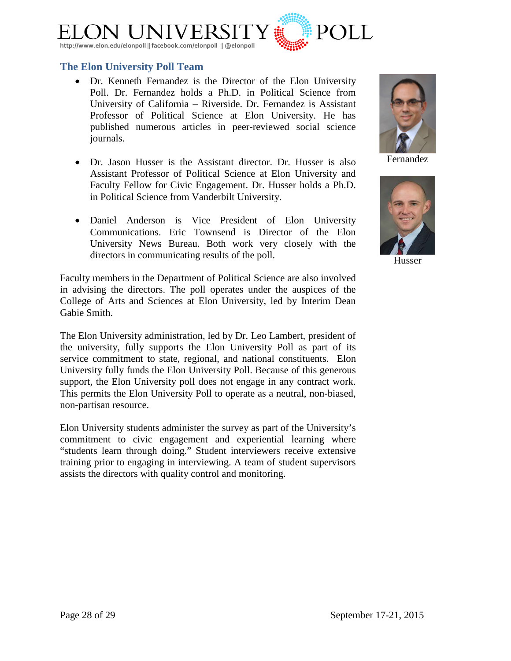

#### <span id="page-27-0"></span>**The Elon University Poll Team**

- [Dr. Kenneth Fernandez](http://www.elon.edu/directories/profile/?user=kfernandez) is the Director of the Elon University Poll. Dr. Fernandez holds a Ph.D. in Political Science from University of California – Riverside. Dr. Fernandez is Assistant Professor of Political Science at Elon University. He has published numerous articles in peer-reviewed social science journals.
- [Dr. Jason Husser](http://www.elon.edu/directories/profile/?user=jhusser) is the Assistant director. Dr. Husser is also Assistant Professor of Political Science at Elon University and Faculty Fellow for Civic Engagement. Dr. Husser holds a Ph.D. in Political Science from Vanderbilt University.
- Daniel Anderson is Vice President of Elon University Communications. Eric Townsend is Director of the Elon University News Bureau. Both work very closely with the directors in communicating results of the poll.

Faculty members in the Department of Political Science are also involved in advising the directors. The poll operates under the auspices of the College of Arts and Sciences at Elon University, led by Interim Dean Gabie Smith.

The Elon University administration, led by Dr. Leo Lambert, president of the university, fully supports the Elon University Poll as part of its service commitment to state, regional, and national constituents. Elon University fully funds the Elon University Poll. Because of this generous support, the Elon University poll does not engage in any contract work. This permits the Elon University Poll to operate as a neutral, non-biased, non-partisan resource.

Elon University students administer the survey as part of the University's commitment to civic engagement and experiential learning where "students learn through doing." Student interviewers receive extensive training prior to engaging in interviewing. A team of student supervisors assists the directors with quality control and monitoring.

Fernandez



Husser